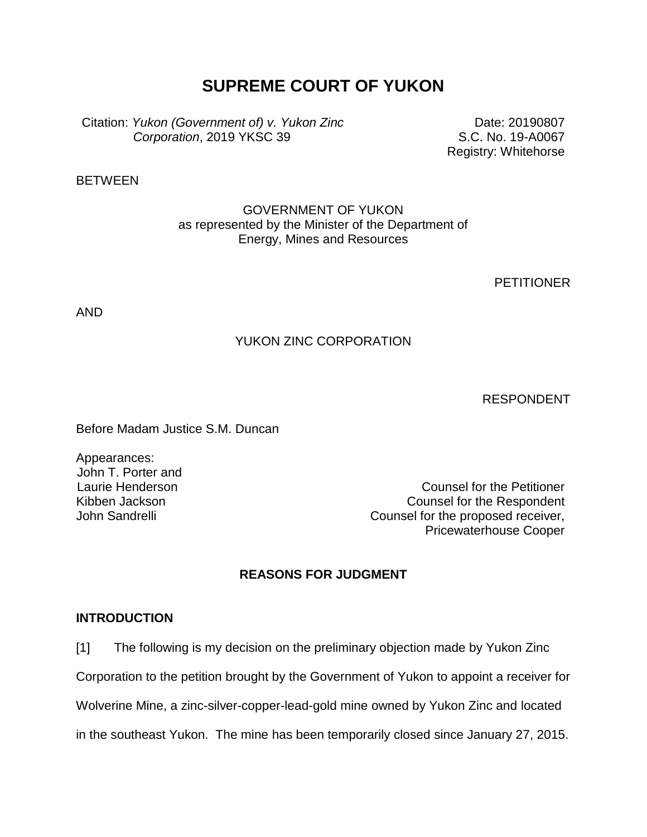# **SUPREME COURT OF YUKON**

Citation: *Yukon (Government of) v. Yukon Zinc Corporation*, 2019 YKSC 39

Date: 20190807 S.C. No. 19-A0067 Registry: Whitehorse

**BETWEEN** 

## GOVERNMENT OF YUKON as represented by the Minister of the Department of Energy, Mines and Resources

**PETITIONER** 

AND

## YUKON ZINC CORPORATION

RESPONDENT

Before Madam Justice S.M. Duncan

Appearances: John T. Porter and Laurie Henderson Kibben Jackson

Counsel for the Petitioner Counsel for the Respondent John Sandrelli **Counsel for the proposed receiver,** Pricewaterhouse Cooper

## **REASONS FOR JUDGMENT**

#### **INTRODUCTION**

[1] The following is my decision on the preliminary objection made by Yukon Zinc

Corporation to the petition brought by the Government of Yukon to appoint a receiver for

Wolverine Mine, a zinc-silver-copper-lead-gold mine owned by Yukon Zinc and located

in the southeast Yukon. The mine has been temporarily closed since January 27, 2015.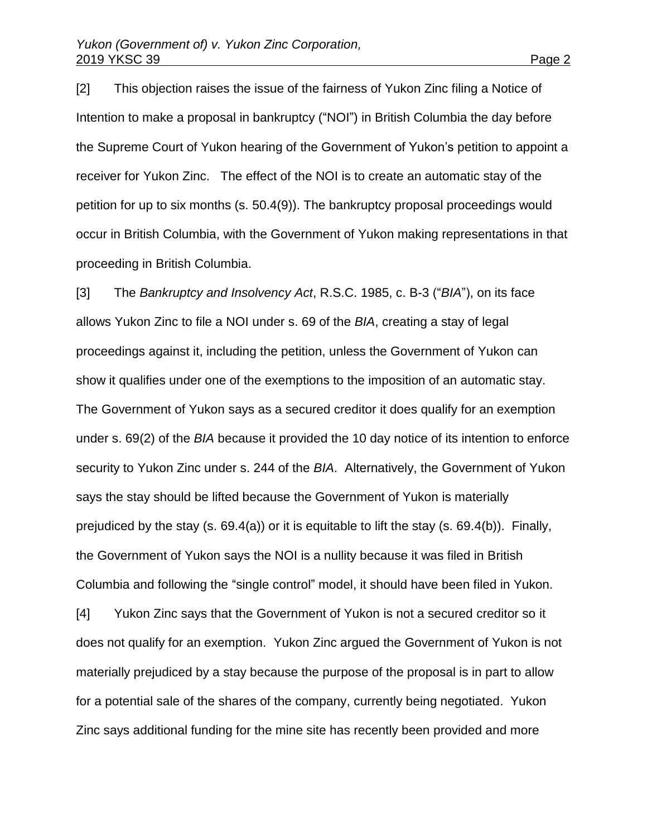[2] This objection raises the issue of the fairness of Yukon Zinc filing a Notice of Intention to make a proposal in bankruptcy ("NOI") in British Columbia the day before the Supreme Court of Yukon hearing of the Government of Yukon's petition to appoint a receiver for Yukon Zinc. The effect of the NOI is to create an automatic stay of the petition for up to six months (s. 50.4(9)). The bankruptcy proposal proceedings would occur in British Columbia, with the Government of Yukon making representations in that proceeding in British Columbia.

[3] The *Bankruptcy and Insolvency Act*, R.S.C. 1985, c. B-3 ("*BIA*"), on its face allows Yukon Zinc to file a NOI under s. 69 of the *BIA*, creating a stay of legal proceedings against it, including the petition, unless the Government of Yukon can show it qualifies under one of the exemptions to the imposition of an automatic stay. The Government of Yukon says as a secured creditor it does qualify for an exemption under s. 69(2) of the *BIA* because it provided the 10 day notice of its intention to enforce security to Yukon Zinc under s. 244 of the *BIA*. Alternatively, the Government of Yukon says the stay should be lifted because the Government of Yukon is materially prejudiced by the stay (s. 69.4(a)) or it is equitable to lift the stay (s. 69.4(b)). Finally, the Government of Yukon says the NOI is a nullity because it was filed in British Columbia and following the "single control" model, it should have been filed in Yukon. [4] Yukon Zinc says that the Government of Yukon is not a secured creditor so it does not qualify for an exemption. Yukon Zinc argued the Government of Yukon is not materially prejudiced by a stay because the purpose of the proposal is in part to allow for a potential sale of the shares of the company, currently being negotiated. Yukon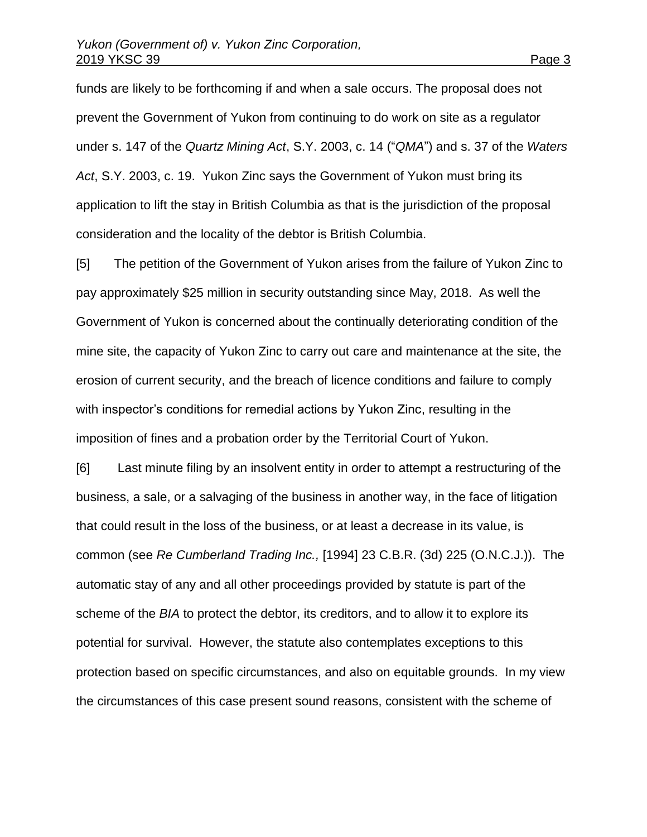funds are likely to be forthcoming if and when a sale occurs. The proposal does not prevent the Government of Yukon from continuing to do work on site as a regulator under s. 147 of the *Quartz Mining Act*, S.Y. 2003, c. 14 ("*QMA*") and s. 37 of the *Waters Act*, S.Y. 2003, c. 19. Yukon Zinc says the Government of Yukon must bring its application to lift the stay in British Columbia as that is the jurisdiction of the proposal consideration and the locality of the debtor is British Columbia.

[5] The petition of the Government of Yukon arises from the failure of Yukon Zinc to pay approximately \$25 million in security outstanding since May, 2018. As well the Government of Yukon is concerned about the continually deteriorating condition of the mine site, the capacity of Yukon Zinc to carry out care and maintenance at the site, the erosion of current security, and the breach of licence conditions and failure to comply with inspector's conditions for remedial actions by Yukon Zinc, resulting in the imposition of fines and a probation order by the Territorial Court of Yukon.

[6] Last minute filing by an insolvent entity in order to attempt a restructuring of the business, a sale, or a salvaging of the business in another way, in the face of litigation that could result in the loss of the business, or at least a decrease in its value, is common (see *Re Cumberland Trading Inc.,* [1994] 23 C.B.R. (3d) 225 (O.N.C.J.)). The automatic stay of any and all other proceedings provided by statute is part of the scheme of the *BIA* to protect the debtor, its creditors, and to allow it to explore its potential for survival. However, the statute also contemplates exceptions to this protection based on specific circumstances, and also on equitable grounds. In my view the circumstances of this case present sound reasons, consistent with the scheme of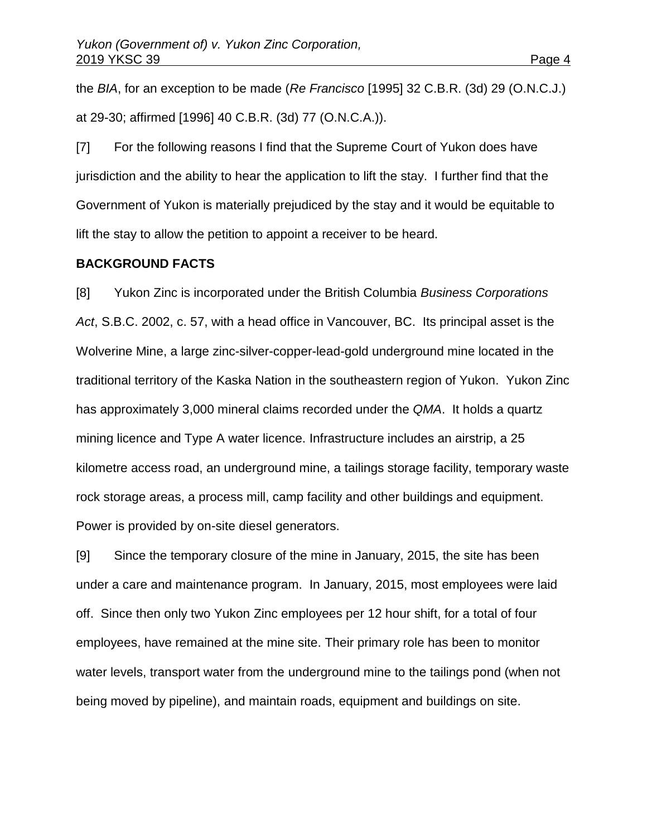the *BIA*, for an exception to be made (*Re Francisco* [1995] 32 C.B.R. (3d) 29 (O.N.C.J.) at 29-30; affirmed [1996] 40 C.B.R. (3d) 77 (O.N.C.A.)).

[7] For the following reasons I find that the Supreme Court of Yukon does have jurisdiction and the ability to hear the application to lift the stay. I further find that the Government of Yukon is materially prejudiced by the stay and it would be equitable to lift the stay to allow the petition to appoint a receiver to be heard.

#### **BACKGROUND FACTS**

[8] Yukon Zinc is incorporated under the British Columbia *Business Corporations Act*, S.B.C. 2002, c. 57, with a head office in Vancouver, BC. Its principal asset is the Wolverine Mine, a large zinc-silver-copper-lead-gold underground mine located in the traditional territory of the Kaska Nation in the southeastern region of Yukon. Yukon Zinc has approximately 3,000 mineral claims recorded under the *QMA*. It holds a quartz mining licence and Type A water licence. Infrastructure includes an airstrip, a 25 kilometre access road, an underground mine, a tailings storage facility, temporary waste rock storage areas, a process mill, camp facility and other buildings and equipment. Power is provided by on-site diesel generators.

[9] Since the temporary closure of the mine in January, 2015, the site has been under a care and maintenance program. In January, 2015, most employees were laid off. Since then only two Yukon Zinc employees per 12 hour shift, for a total of four employees, have remained at the mine site. Their primary role has been to monitor water levels, transport water from the underground mine to the tailings pond (when not being moved by pipeline), and maintain roads, equipment and buildings on site.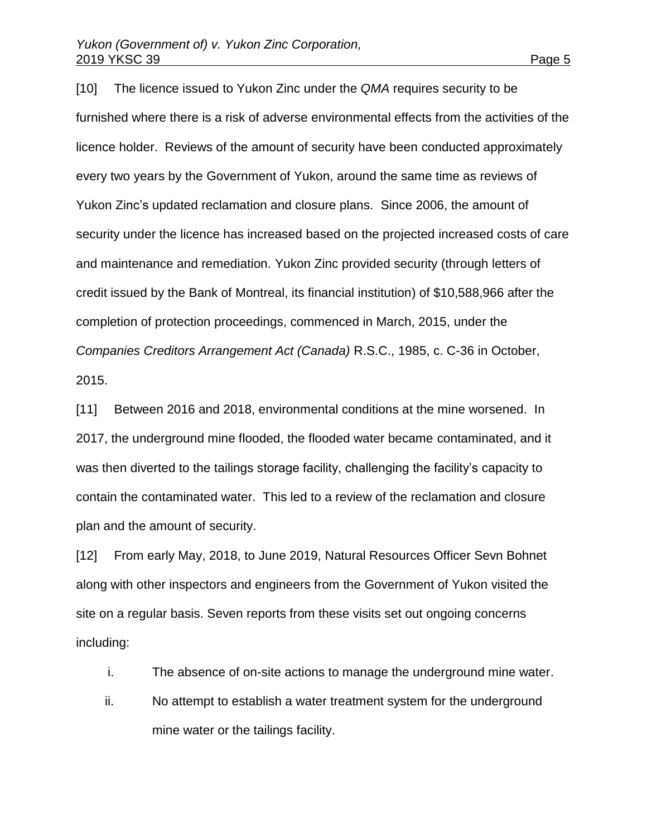[10] The licence issued to Yukon Zinc under the *QMA* requires security to be furnished where there is a risk of adverse environmental effects from the activities of the licence holder. Reviews of the amount of security have been conducted approximately every two years by the Government of Yukon, around the same time as reviews of Yukon Zinc's updated reclamation and closure plans. Since 2006, the amount of security under the licence has increased based on the projected increased costs of care and maintenance and remediation. Yukon Zinc provided security (through letters of credit issued by the Bank of Montreal, its financial institution) of \$10,588,966 after the completion of protection proceedings, commenced in March, 2015, under the *Companies Creditors Arrangement Act (Canada)* R.S.C., 1985, c. C-36 in October, 2015.

[11] Between 2016 and 2018, environmental conditions at the mine worsened. In 2017, the underground mine flooded, the flooded water became contaminated, and it was then diverted to the tailings storage facility, challenging the facility's capacity to contain the contaminated water. This led to a review of the reclamation and closure plan and the amount of security.

[12] From early May, 2018, to June 2019, Natural Resources Officer Sevn Bohnet along with other inspectors and engineers from the Government of Yukon visited the site on a regular basis. Seven reports from these visits set out ongoing concerns including:

- i. The absence of on-site actions to manage the underground mine water.
- ii. No attempt to establish a water treatment system for the underground mine water or the tailings facility.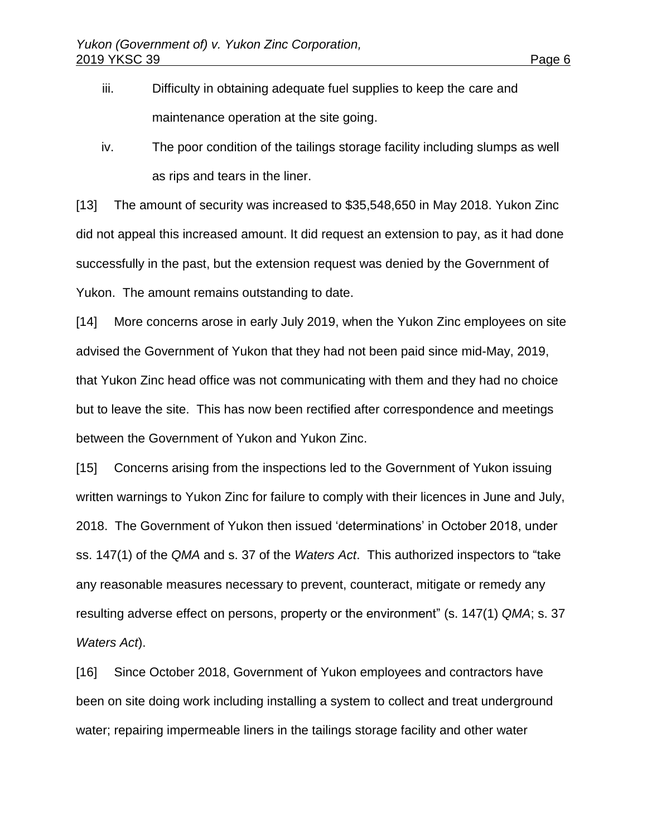- iii. Difficulty in obtaining adequate fuel supplies to keep the care and maintenance operation at the site going.
- iv. The poor condition of the tailings storage facility including slumps as well as rips and tears in the liner.

[13] The amount of security was increased to \$35,548,650 in May 2018. Yukon Zinc did not appeal this increased amount. It did request an extension to pay, as it had done successfully in the past, but the extension request was denied by the Government of Yukon. The amount remains outstanding to date.

[14] More concerns arose in early July 2019, when the Yukon Zinc employees on site advised the Government of Yukon that they had not been paid since mid-May, 2019, that Yukon Zinc head office was not communicating with them and they had no choice but to leave the site. This has now been rectified after correspondence and meetings between the Government of Yukon and Yukon Zinc.

[15] Concerns arising from the inspections led to the Government of Yukon issuing written warnings to Yukon Zinc for failure to comply with their licences in June and July, 2018. The Government of Yukon then issued 'determinations' in October 2018, under ss. 147(1) of the *QMA* and s. 37 of the *Waters Act*. This authorized inspectors to "take any reasonable measures necessary to prevent, counteract, mitigate or remedy any resulting adverse effect on persons, property or the environment" (s. 147(1) *QMA*; s. 37 *Waters Act*).

[16] Since October 2018, Government of Yukon employees and contractors have been on site doing work including installing a system to collect and treat underground water; repairing impermeable liners in the tailings storage facility and other water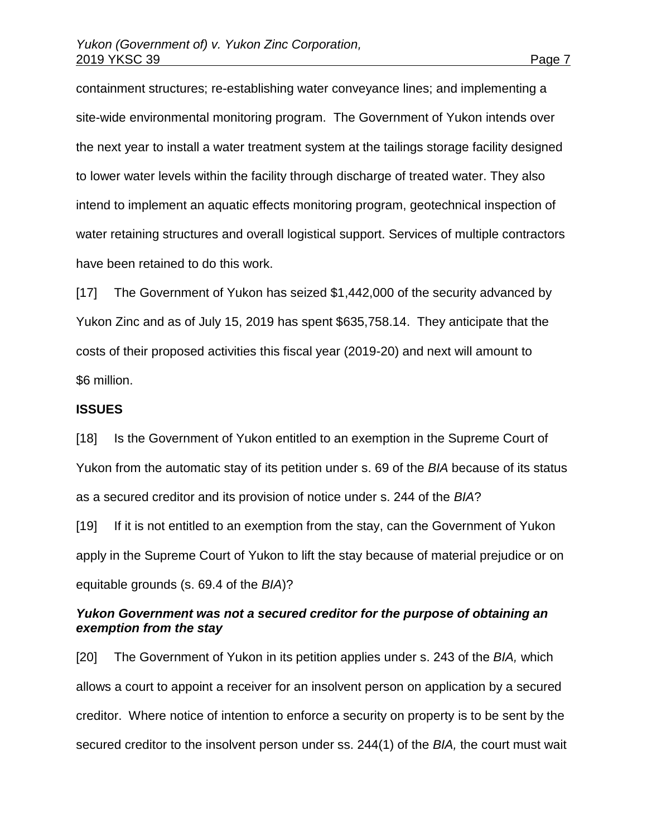containment structures; re-establishing water conveyance lines; and implementing a site-wide environmental monitoring program. The Government of Yukon intends over the next year to install a water treatment system at the tailings storage facility designed to lower water levels within the facility through discharge of treated water. They also intend to implement an aquatic effects monitoring program, geotechnical inspection of water retaining structures and overall logistical support. Services of multiple contractors have been retained to do this work.

[17] The Government of Yukon has seized \$1,442,000 of the security advanced by Yukon Zinc and as of July 15, 2019 has spent \$635,758.14. They anticipate that the costs of their proposed activities this fiscal year (2019-20) and next will amount to \$6 million.

#### **ISSUES**

[18] Is the Government of Yukon entitled to an exemption in the Supreme Court of Yukon from the automatic stay of its petition under s. 69 of the *BIA* because of its status as a secured creditor and its provision of notice under s. 244 of the *BIA*?

[19] If it is not entitled to an exemption from the stay, can the Government of Yukon apply in the Supreme Court of Yukon to lift the stay because of material prejudice or on equitable grounds (s. 69.4 of the *BIA*)?

### *Yukon Government was not a secured creditor for the purpose of obtaining an exemption from the stay*

[20] The Government of Yukon in its petition applies under s. 243 of the *BIA,* which allows a court to appoint a receiver for an insolvent person on application by a secured creditor. Where notice of intention to enforce a security on property is to be sent by the secured creditor to the insolvent person under ss. 244(1) of the *BIA,* the court must wait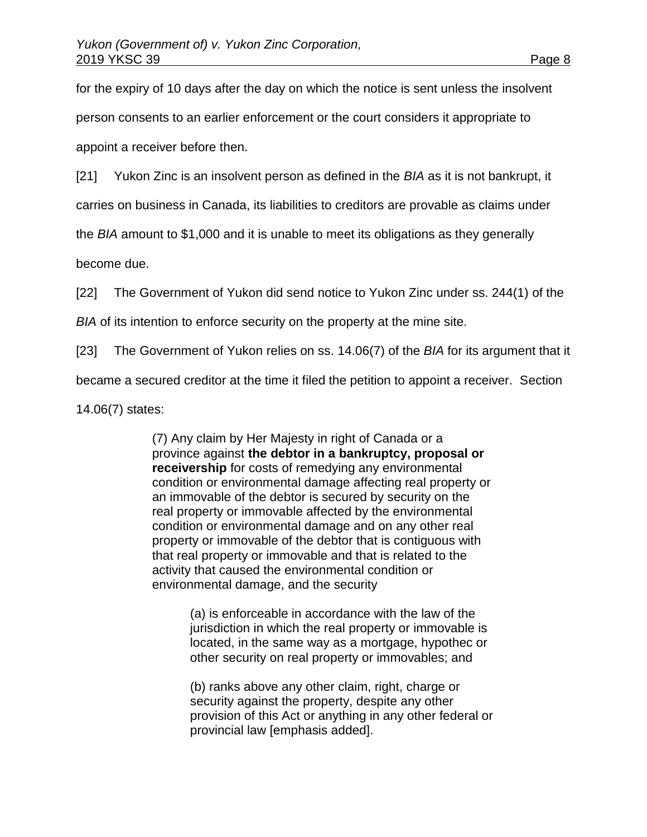for the expiry of 10 days after the day on which the notice is sent unless the insolvent person consents to an earlier enforcement or the court considers it appropriate to appoint a receiver before then.

[21] Yukon Zinc is an insolvent person as defined in the *BIA* as it is not bankrupt, it

carries on business in Canada, its liabilities to creditors are provable as claims under

the *BIA* amount to \$1,000 and it is unable to meet its obligations as they generally

become due.

[22] The Government of Yukon did send notice to Yukon Zinc under ss. 244(1) of the

*BIA* of its intention to enforce security on the property at the mine site.

[23] The Government of Yukon relies on ss. 14.06(7) of the *BIA* for its argument that it

became a secured creditor at the time it filed the petition to appoint a receiver. Section

14.06(7) states:

(7) Any claim by Her Majesty in right of Canada or a province against **the debtor in a bankruptcy, proposal or receivership** for costs of remedying any environmental condition or environmental damage affecting real property or an immovable of the debtor is secured by security on the real property or immovable affected by the environmental condition or environmental damage and on any other real property or immovable of the debtor that is contiguous with that real property or immovable and that is related to the activity that caused the environmental condition or environmental damage, and the security

> (a) is enforceable in accordance with the law of the jurisdiction in which the real property or immovable is located, in the same way as a mortgage, hypothec or other security on real property or immovables; and

(b) ranks above any other claim, right, charge or security against the property, despite any other provision of this Act or anything in any other federal or provincial law [emphasis added].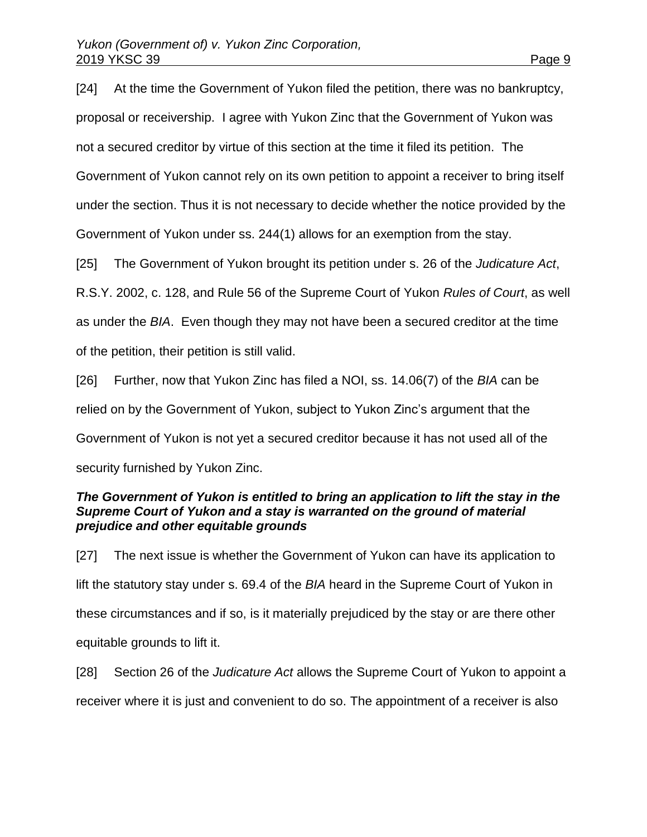[24] At the time the Government of Yukon filed the petition, there was no bankruptcy, proposal or receivership. I agree with Yukon Zinc that the Government of Yukon was not a secured creditor by virtue of this section at the time it filed its petition. The Government of Yukon cannot rely on its own petition to appoint a receiver to bring itself under the section. Thus it is not necessary to decide whether the notice provided by the Government of Yukon under ss. 244(1) allows for an exemption from the stay. [25] The Government of Yukon brought its petition under s. 26 of the *Judicature Act*,

R.S.Y. 2002, c. 128, and Rule 56 of the Supreme Court of Yukon *Rules of Court*, as well

as under the *BIA*. Even though they may not have been a secured creditor at the time

of the petition, their petition is still valid.

[26] Further, now that Yukon Zinc has filed a NOI, ss. 14.06(7) of the *BIA* can be relied on by the Government of Yukon, subject to Yukon Zinc's argument that the Government of Yukon is not yet a secured creditor because it has not used all of the security furnished by Yukon Zinc.

### *The Government of Yukon is entitled to bring an application to lift the stay in the Supreme Court of Yukon and a stay is warranted on the ground of material prejudice and other equitable grounds*

[27] The next issue is whether the Government of Yukon can have its application to lift the statutory stay under s. 69.4 of the *BIA* heard in the Supreme Court of Yukon in these circumstances and if so, is it materially prejudiced by the stay or are there other equitable grounds to lift it.

[28] Section 26 of the *Judicature Act* allows the Supreme Court of Yukon to appoint a receiver where it is just and convenient to do so. The appointment of a receiver is also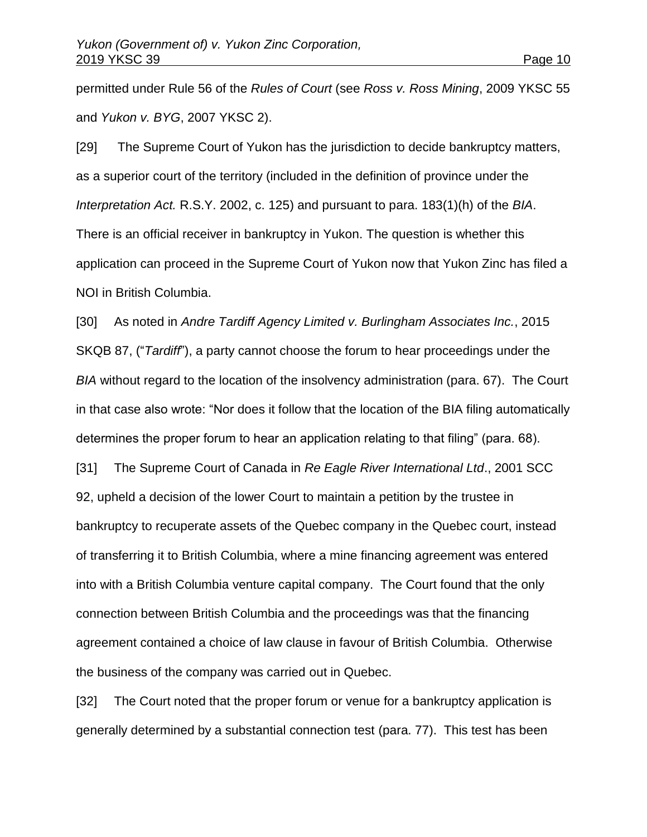permitted under Rule 56 of the *Rules of Court* (see *Ross v. Ross Mining*, 2009 YKSC 55 and *Yukon v. BYG*, 2007 YKSC 2).

[29] The Supreme Court of Yukon has the jurisdiction to decide bankruptcy matters, as a superior court of the territory (included in the definition of province under the *Interpretation Act.* R.S.Y. 2002, c. 125) and pursuant to para. 183(1)(h) of the *BIA*. There is an official receiver in bankruptcy in Yukon. The question is whether this application can proceed in the Supreme Court of Yukon now that Yukon Zinc has filed a NOI in British Columbia.

[30] As noted in *Andre Tardiff Agency Limited v. Burlingham Associates Inc.*, 2015 SKQB 87, ("*Tardiff*"), a party cannot choose the forum to hear proceedings under the *BIA* without regard to the location of the insolvency administration (para. 67). The Court in that case also wrote: "Nor does it follow that the location of the BIA filing automatically determines the proper forum to hear an application relating to that filing" (para. 68).

[31] The Supreme Court of Canada in *Re Eagle River International Ltd*., 2001 SCC 92, upheld a decision of the lower Court to maintain a petition by the trustee in bankruptcy to recuperate assets of the Quebec company in the Quebec court, instead of transferring it to British Columbia, where a mine financing agreement was entered into with a British Columbia venture capital company. The Court found that the only connection between British Columbia and the proceedings was that the financing agreement contained a choice of law clause in favour of British Columbia. Otherwise the business of the company was carried out in Quebec.

[32] The Court noted that the proper forum or venue for a bankruptcy application is generally determined by a substantial connection test (para. 77). This test has been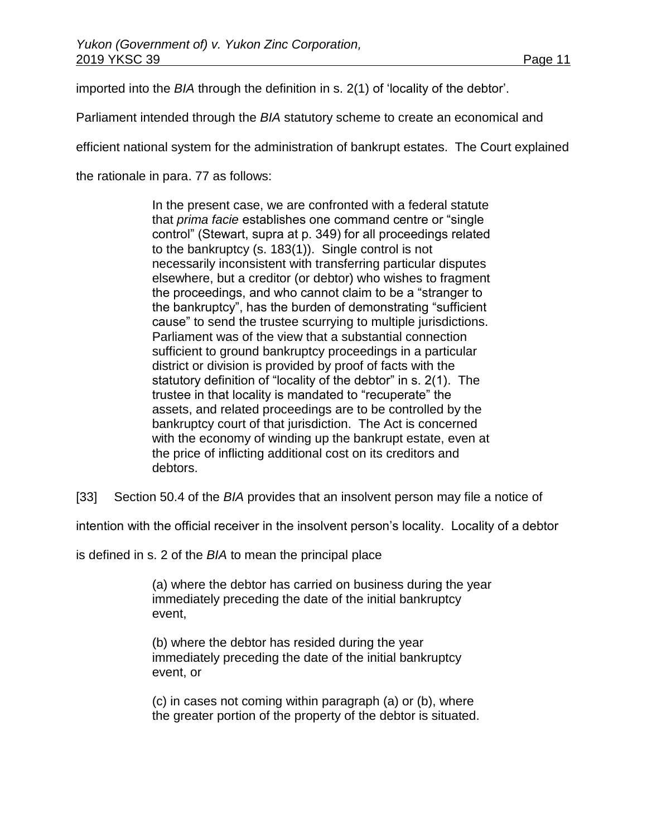imported into the *BIA* through the definition in s. 2(1) of 'locality of the debtor'.

Parliament intended through the *BIA* statutory scheme to create an economical and

efficient national system for the administration of bankrupt estates. The Court explained

the rationale in para. 77 as follows:

In the present case, we are confronted with a federal statute that *prima facie* establishes one command centre or "single control" (Stewart, supra at p. 349) for all proceedings related to the bankruptcy (s. 183(1)). Single control is not necessarily inconsistent with transferring particular disputes elsewhere, but a creditor (or debtor) who wishes to fragment the proceedings, and who cannot claim to be a "stranger to the bankruptcy", has the burden of demonstrating "sufficient cause" to send the trustee scurrying to multiple jurisdictions. Parliament was of the view that a substantial connection sufficient to ground bankruptcy proceedings in a particular district or division is provided by proof of facts with the statutory definition of "locality of the debtor" in s. 2(1). The trustee in that locality is mandated to "recuperate" the assets, and related proceedings are to be controlled by the bankruptcy court of that jurisdiction. The Act is concerned with the economy of winding up the bankrupt estate, even at the price of inflicting additional cost on its creditors and debtors.

[33] Section 50.4 of the *BIA* provides that an insolvent person may file a notice of

intention with the official receiver in the insolvent person's locality. Locality of a debtor

is defined in s. 2 of the *BIA* to mean the principal place

(a) where the debtor has carried on business during the year immediately preceding the date of the initial bankruptcy event,

(b) where the debtor has resided during the year immediately preceding the date of the initial bankruptcy event, or

(c) in cases not coming within paragraph (a) or (b), where the greater portion of the property of the debtor is situated.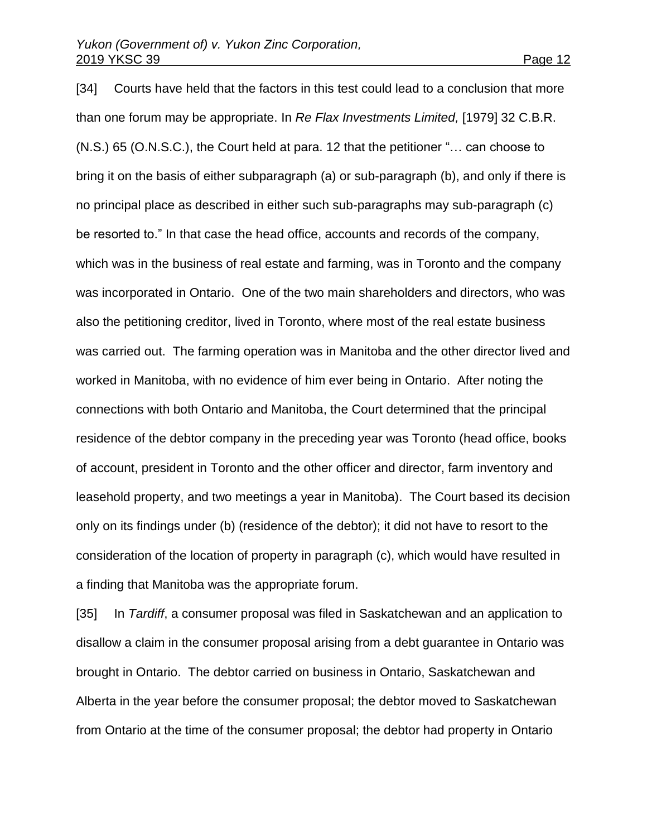[34] Courts have held that the factors in this test could lead to a conclusion that more than one forum may be appropriate. In *Re Flax Investments Limited,* [1979] 32 C.B.R. (N.S.) 65 (O.N.S.C.), the Court held at para. 12 that the petitioner "… can choose to bring it on the basis of either subparagraph (a) or sub-paragraph (b), and only if there is no principal place as described in either such sub-paragraphs may sub-paragraph (c) be resorted to." In that case the head office, accounts and records of the company, which was in the business of real estate and farming, was in Toronto and the company was incorporated in Ontario. One of the two main shareholders and directors, who was also the petitioning creditor, lived in Toronto, where most of the real estate business was carried out. The farming operation was in Manitoba and the other director lived and worked in Manitoba, with no evidence of him ever being in Ontario. After noting the connections with both Ontario and Manitoba, the Court determined that the principal residence of the debtor company in the preceding year was Toronto (head office, books of account, president in Toronto and the other officer and director, farm inventory and leasehold property, and two meetings a year in Manitoba). The Court based its decision only on its findings under (b) (residence of the debtor); it did not have to resort to the consideration of the location of property in paragraph (c), which would have resulted in a finding that Manitoba was the appropriate forum.

[35] In *Tardiff*, a consumer proposal was filed in Saskatchewan and an application to disallow a claim in the consumer proposal arising from a debt guarantee in Ontario was brought in Ontario. The debtor carried on business in Ontario, Saskatchewan and Alberta in the year before the consumer proposal; the debtor moved to Saskatchewan from Ontario at the time of the consumer proposal; the debtor had property in Ontario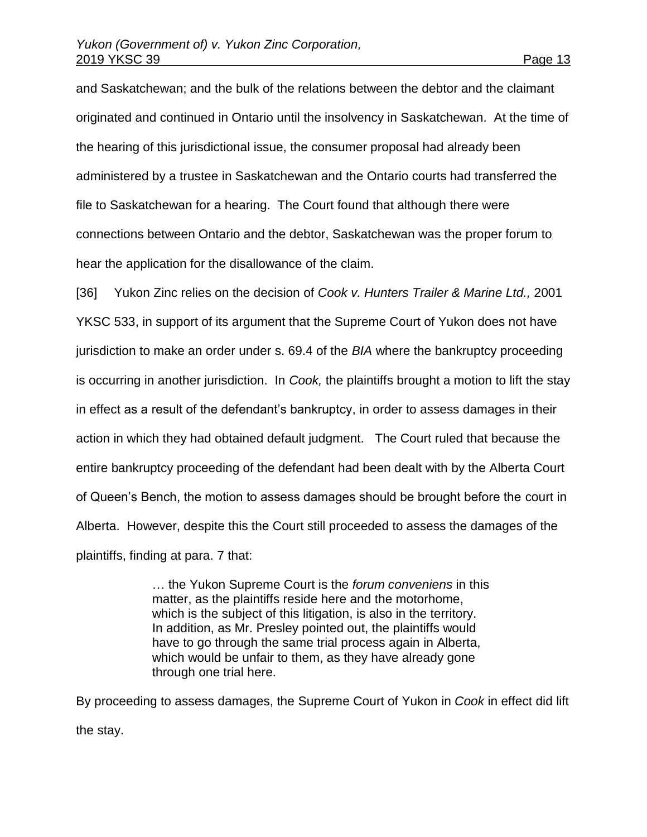and Saskatchewan; and the bulk of the relations between the debtor and the claimant originated and continued in Ontario until the insolvency in Saskatchewan. At the time of the hearing of this jurisdictional issue, the consumer proposal had already been administered by a trustee in Saskatchewan and the Ontario courts had transferred the file to Saskatchewan for a hearing. The Court found that although there were connections between Ontario and the debtor, Saskatchewan was the proper forum to hear the application for the disallowance of the claim.

[36] Yukon Zinc relies on the decision of *Cook v. Hunters Trailer & Marine Ltd.,* 2001 YKSC 533, in support of its argument that the Supreme Court of Yukon does not have jurisdiction to make an order under s. 69.4 of the *BIA* where the bankruptcy proceeding is occurring in another jurisdiction. In *Cook,* the plaintiffs brought a motion to lift the stay in effect as a result of the defendant's bankruptcy, in order to assess damages in their action in which they had obtained default judgment. The Court ruled that because the entire bankruptcy proceeding of the defendant had been dealt with by the Alberta Court of Queen's Bench, the motion to assess damages should be brought before the court in Alberta. However, despite this the Court still proceeded to assess the damages of the plaintiffs, finding at para. 7 that:

> … the Yukon Supreme Court is the *forum conveniens* in this matter, as the plaintiffs reside here and the motorhome, which is the subject of this litigation, is also in the territory. In addition, as Mr. Presley pointed out, the plaintiffs would have to go through the same trial process again in Alberta, which would be unfair to them, as they have already gone through one trial here.

By proceeding to assess damages, the Supreme Court of Yukon in *Cook* in effect did lift the stay.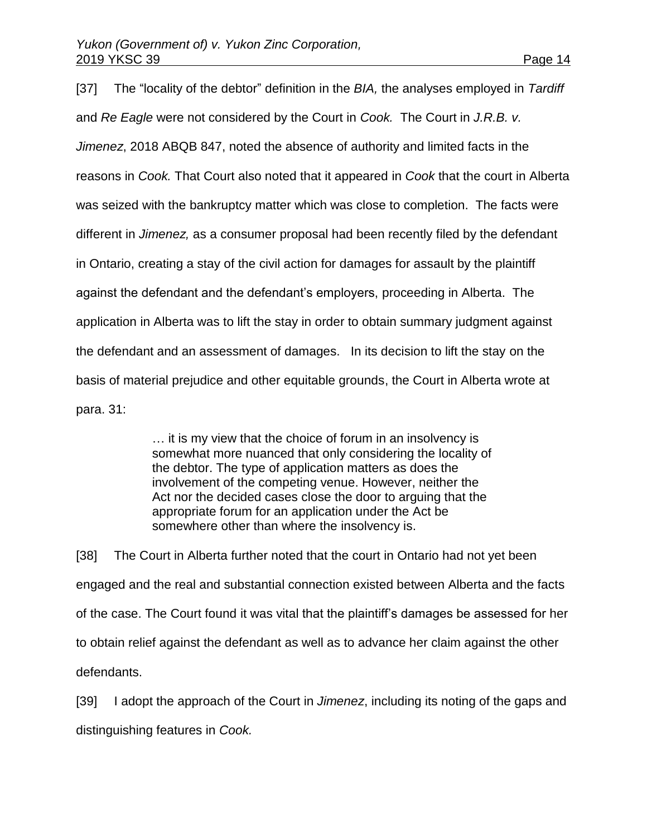[37] The "locality of the debtor" definition in the *BIA,* the analyses employed in *Tardiff* and *Re Eagle* were not considered by the Court in *Cook.* The Court in *J.R.B. v. Jimenez*, 2018 ABQB 847, noted the absence of authority and limited facts in the reasons in *Cook.* That Court also noted that it appeared in *Cook* that the court in Alberta was seized with the bankruptcy matter which was close to completion. The facts were different in *Jimenez,* as a consumer proposal had been recently filed by the defendant in Ontario, creating a stay of the civil action for damages for assault by the plaintiff against the defendant and the defendant's employers, proceeding in Alberta. The application in Alberta was to lift the stay in order to obtain summary judgment against the defendant and an assessment of damages. In its decision to lift the stay on the basis of material prejudice and other equitable grounds, the Court in Alberta wrote at para. 31:

> … it is my view that the choice of forum in an insolvency is somewhat more nuanced that only considering the locality of the debtor. The type of application matters as does the involvement of the competing venue. However, neither the Act nor the decided cases close the door to arguing that the appropriate forum for an application under the Act be somewhere other than where the insolvency is.

[38] The Court in Alberta further noted that the court in Ontario had not yet been engaged and the real and substantial connection existed between Alberta and the facts of the case. The Court found it was vital that the plaintiff's damages be assessed for her to obtain relief against the defendant as well as to advance her claim against the other defendants.

[39] I adopt the approach of the Court in *Jimenez*, including its noting of the gaps and distinguishing features in *Cook.*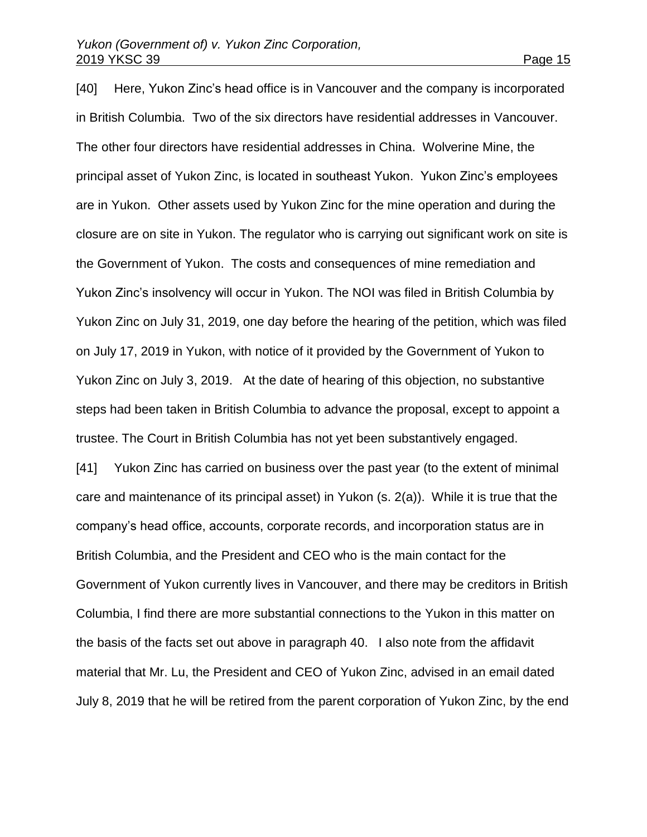[40] Here, Yukon Zinc's head office is in Vancouver and the company is incorporated in British Columbia. Two of the six directors have residential addresses in Vancouver. The other four directors have residential addresses in China. Wolverine Mine, the principal asset of Yukon Zinc, is located in southeast Yukon. Yukon Zinc's employees are in Yukon. Other assets used by Yukon Zinc for the mine operation and during the closure are on site in Yukon. The regulator who is carrying out significant work on site is the Government of Yukon. The costs and consequences of mine remediation and Yukon Zinc's insolvency will occur in Yukon. The NOI was filed in British Columbia by Yukon Zinc on July 31, 2019, one day before the hearing of the petition, which was filed on July 17, 2019 in Yukon, with notice of it provided by the Government of Yukon to Yukon Zinc on July 3, 2019. At the date of hearing of this objection, no substantive steps had been taken in British Columbia to advance the proposal, except to appoint a trustee. The Court in British Columbia has not yet been substantively engaged.

[41] Yukon Zinc has carried on business over the past year (to the extent of minimal care and maintenance of its principal asset) in Yukon (s. 2(a)). While it is true that the company's head office, accounts, corporate records, and incorporation status are in British Columbia, and the President and CEO who is the main contact for the Government of Yukon currently lives in Vancouver, and there may be creditors in British Columbia, I find there are more substantial connections to the Yukon in this matter on the basis of the facts set out above in paragraph 40. I also note from the affidavit material that Mr. Lu, the President and CEO of Yukon Zinc, advised in an email dated July 8, 2019 that he will be retired from the parent corporation of Yukon Zinc, by the end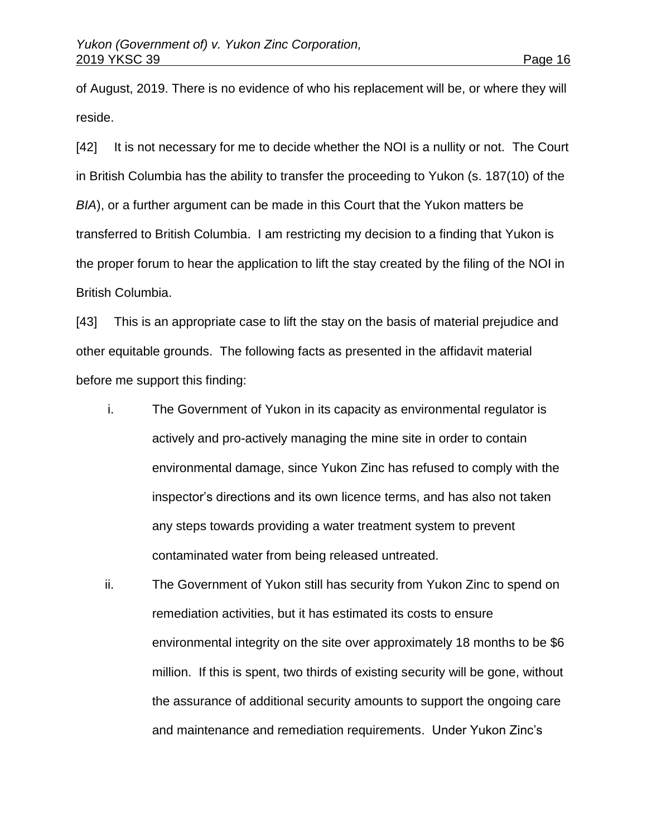of August, 2019. There is no evidence of who his replacement will be, or where they will reside.

[42] It is not necessary for me to decide whether the NOI is a nullity or not. The Court in British Columbia has the ability to transfer the proceeding to Yukon (s. 187(10) of the *BIA*), or a further argument can be made in this Court that the Yukon matters be transferred to British Columbia. I am restricting my decision to a finding that Yukon is the proper forum to hear the application to lift the stay created by the filing of the NOI in British Columbia.

[43] This is an appropriate case to lift the stay on the basis of material prejudice and other equitable grounds. The following facts as presented in the affidavit material before me support this finding:

- i. The Government of Yukon in its capacity as environmental regulator is actively and pro-actively managing the mine site in order to contain environmental damage, since Yukon Zinc has refused to comply with the inspector's directions and its own licence terms, and has also not taken any steps towards providing a water treatment system to prevent contaminated water from being released untreated.
- ii. The Government of Yukon still has security from Yukon Zinc to spend on remediation activities, but it has estimated its costs to ensure environmental integrity on the site over approximately 18 months to be \$6 million. If this is spent, two thirds of existing security will be gone, without the assurance of additional security amounts to support the ongoing care and maintenance and remediation requirements. Under Yukon Zinc's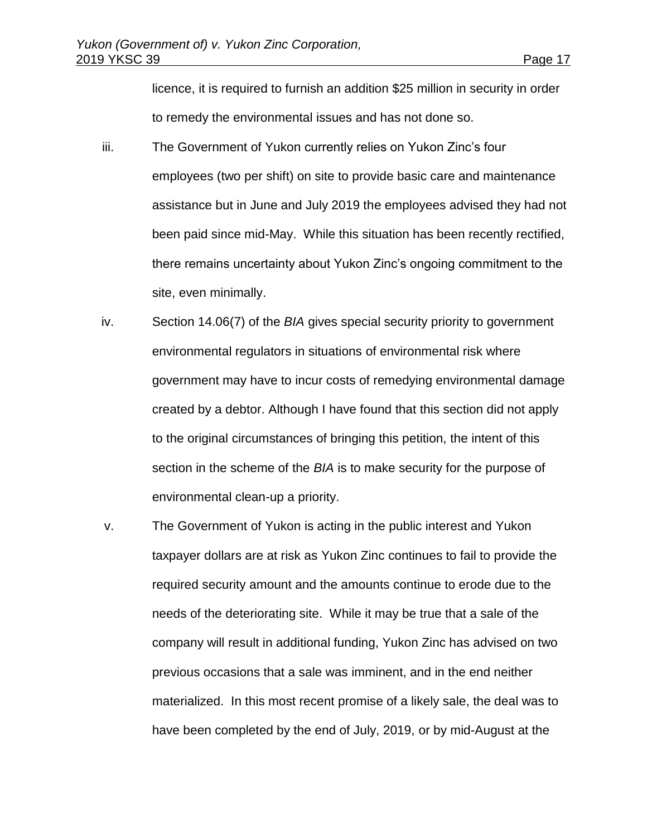licence, it is required to furnish an addition \$25 million in security in order to remedy the environmental issues and has not done so.

- iii. The Government of Yukon currently relies on Yukon Zinc's four employees (two per shift) on site to provide basic care and maintenance assistance but in June and July 2019 the employees advised they had not been paid since mid-May. While this situation has been recently rectified, there remains uncertainty about Yukon Zinc's ongoing commitment to the site, even minimally.
- iv. Section 14.06(7) of the *BIA* gives special security priority to government environmental regulators in situations of environmental risk where government may have to incur costs of remedying environmental damage created by a debtor. Although I have found that this section did not apply to the original circumstances of bringing this petition, the intent of this section in the scheme of the *BIA* is to make security for the purpose of environmental clean-up a priority.
- v. The Government of Yukon is acting in the public interest and Yukon taxpayer dollars are at risk as Yukon Zinc continues to fail to provide the required security amount and the amounts continue to erode due to the needs of the deteriorating site. While it may be true that a sale of the company will result in additional funding, Yukon Zinc has advised on two previous occasions that a sale was imminent, and in the end neither materialized. In this most recent promise of a likely sale, the deal was to have been completed by the end of July, 2019, or by mid-August at the